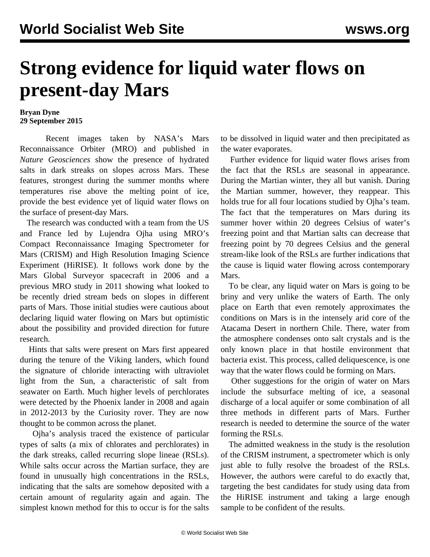## **Strong evidence for liquid water flows on present-day Mars**

## **Bryan Dyne 29 September 2015**

 Recent images taken by NASA's Mars Reconnaissance Orbiter (MRO) and published in *Nature Geosciences* show the presence of hydrated salts in dark streaks on slopes across Mars. These features, strongest during the summer months where temperatures rise above the melting point of ice, provide the best evidence yet of liquid water flows on the surface of present-day Mars.

 The research was conducted with a team from the US and France led by Lujendra Ojha using MRO's Compact Reconnaissance Imaging Spectrometer for Mars (CRISM) and High Resolution Imaging Science Experiment (HiRISE). It follows work done by the Mars Global Surveyor spacecraft in 2006 and a previous MRO study in 2011 showing what looked to be recently dried stream beds on slopes in different parts of Mars. Those initial studies were cautious about declaring liquid water flowing on Mars but optimistic about the possibility and provided direction for future research.

 Hints that salts were present on Mars first appeared during the tenure of the Viking landers, which found the signature of chloride interacting with ultraviolet light from the Sun, a characteristic of salt from seawater on Earth. Much higher levels of perchlorates were detected by the Phoenix lander in 2008 and again in 2012-2013 by the Curiosity rover. They are now thought to be common across the planet.

 Ojha's analysis traced the existence of particular types of salts (a mix of chlorates and perchlorates) in the dark streaks, called recurring slope lineae (RSLs). While salts occur across the Martian surface, they are found in unusually high concentrations in the RSLs, indicating that the salts are somehow deposited with a certain amount of regularity again and again. The simplest known method for this to occur is for the salts

to be dissolved in liquid water and then precipitated as the water evaporates.

 Further evidence for liquid water flows arises from the fact that the RSLs are seasonal in appearance. During the Martian winter, they all but vanish. During the Martian summer, however, they reappear. This holds true for all four locations studied by Ojha's team. The fact that the temperatures on Mars during its summer hover within 20 degrees Celsius of water's freezing point and that Martian salts can decrease that freezing point by 70 degrees Celsius and the general stream-like look of the RSLs are further indications that the cause is liquid water flowing across contemporary Mars.

 To be clear, any liquid water on Mars is going to be briny and very unlike the waters of Earth. The only place on Earth that even remotely approximates the conditions on Mars is in the intensely arid core of the Atacama Desert in northern Chile. There, water from the atmosphere condenses onto salt crystals and is the only known place in that hostile environment that bacteria exist. This process, called deliquescence, is one way that the water flows could be forming on Mars.

 Other suggestions for the origin of water on Mars include the subsurface melting of ice, a seasonal discharge of a local aquifer or some combination of all three methods in different parts of Mars. Further research is needed to determine the source of the water forming the RSLs.

 The admitted weakness in the study is the resolution of the CRISM instrument, a spectrometer which is only just able to fully resolve the broadest of the RSLs. However, the authors were careful to do exactly that, targeting the best candidates for study using data from the HiRISE instrument and taking a large enough sample to be confident of the results.